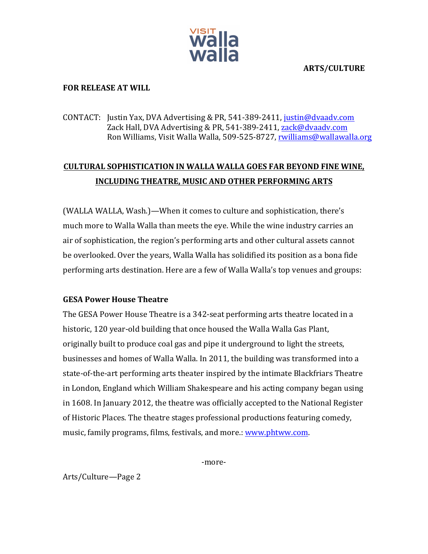

**ARTS/CULTURE**

## **FOR RELEASE AT WILL**

# CONTACT: Justin Yax, DVA Advertising & PR, 541-389-2411, justin@dvaadv.com Zack Hall, DVA Advertising & PR, 541-389-2411, zack@dvaadv.com Ron Williams, Visit Walla Walla, 509-525-8727, rwilliams@wallawalla.org

# **CULTURAL SOPHISTICATION IN WALLA WALLA GOES FAR BEYOND FINE WINE, INCLUDING THEATRE, MUSIC AND OTHER PERFORMING ARTS**

(WALLA WALLA, Wash.)—When it comes to culture and sophistication, there's much more to Walla Walla than meets the eye. While the wine industry carries an air of sophistication, the region's performing arts and other cultural assets cannot be overlooked. Over the years, Walla Walla has solidified its position as a bona fide performing arts destination. Here are a few of Walla Walla's top venues and groups:

## **GESA Power House Theatre**

The GESA Power House Theatre is a 342-seat performing arts theatre located in a historic, 120 year-old building that once housed the Walla Walla Gas Plant, originally built to produce coal gas and pipe it underground to light the streets, businesses and homes of Walla Walla. In 2011, the building was transformed into a state-of-the-art performing arts theater inspired by the intimate Blackfriars Theatre in London, England which William Shakespeare and his acting company began using in 1608. In January 2012, the theatre was officially accepted to the National Register of Historic Places. The theatre stages professional productions featuring comedy, music, family programs, films, festivals, and more.: www.phtww.com.

-more-

Arts/Culture—Page 2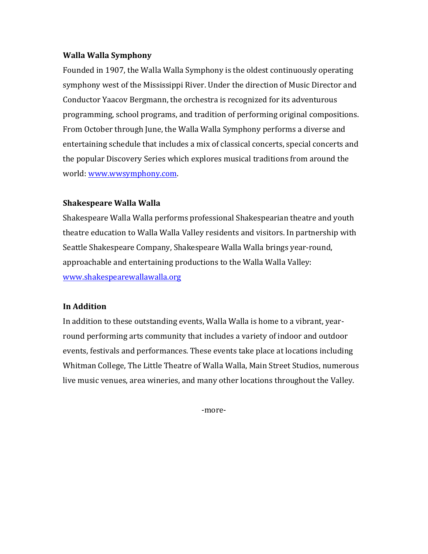#### **Walla Walla Symphony**

Founded in 1907, the Walla Walla Symphony is the oldest continuously operating symphony west of the Mississippi River. Under the direction of Music Director and Conductor Yaacov Bergmann, the orchestra is recognized for its adventurous programming, school programs, and tradition of performing original compositions. From October through June, the Walla Walla Symphony performs a diverse and entertaining schedule that includes a mix of classical concerts, special concerts and the popular Discovery Series which explores musical traditions from around the world: www.wwsymphony.com.

## **Shakespeare Walla Walla**

Shakespeare Walla Walla performs professional Shakespearian theatre and youth theatre education to Walla Walla Valley residents and visitors. In partnership with Seattle Shakespeare Company, Shakespeare Walla Walla brings year-round, approachable and entertaining productions to the Walla Walla Valley: www.shakespearewallawalla.org

## **In Addition**

In addition to these outstanding events, Walla Walla is home to a vibrant, yearround performing arts community that includes a variety of indoor and outdoor events, festivals and performances. These events take place at locations including Whitman College, The Little Theatre of Walla Walla, Main Street Studios, numerous live music venues, area wineries, and many other locations throughout the Valley.

-more-